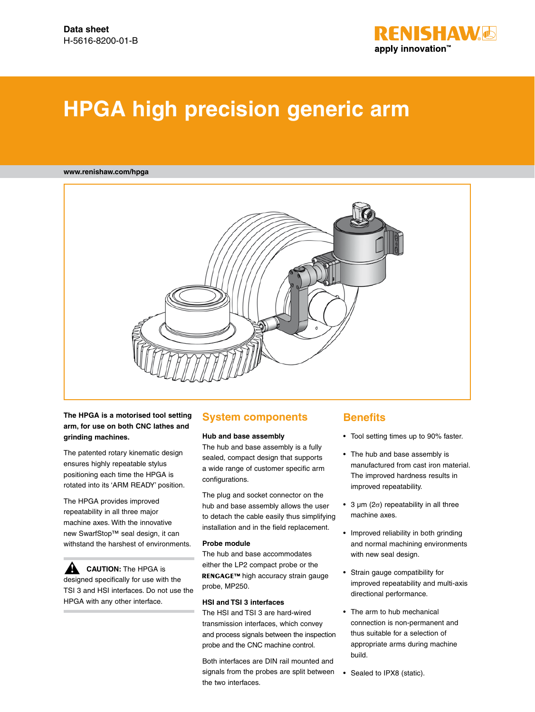

# **HPGA high precision generic arm**

#### **www.renishaw.com/hpga**



**The HPGA is a motorised tool setting arm, for use on both CNC lathes and grinding machines.** 

The patented rotary kinematic design ensures highly repeatable stylus positioning each time the HPGA is rotated into its 'ARM READY' position.

The HPGA provides improved repeatability in all three major machine axes. With the innovative new SwarfStop™ seal design, it can withstand the harshest of environments.

**CAUTION:** The HPGA is designed specifically for use with the TSI 3 and HSI interfaces. Do not use the HPGA with any other interface. **!**

#### **System components**

#### **Hub and base assembly**

The hub and base assembly is a fully sealed, compact design that supports a wide range of customer specific arm configurations.

The plug and socket connector on the hub and base assembly allows the user to detach the cable easily thus simplifying installation and in the field replacement.

#### **Probe module**

The hub and base accommodates either the LP2 compact probe or the RENGAGE™ high accuracy strain gauge probe, MP250.

#### **HSI and TSI 3 interfaces**

The HSI and TSI 3 are hard-wired transmission interfaces, which convey and process signals between the inspection probe and the CNC machine control.

Both interfaces are DIN rail mounted and signals from the probes are split between the two interfaces.

### **Benefits**

- • Tool setting times up to 90% faster.
- • The hub and base assembly is manufactured from cast iron material. The improved hardness results in improved repeatability.
- 3  $\mu$ m (2 $\sigma$ ) repeatability in all three machine axes.
- • Improved reliability in both grinding and normal machining environments with new seal design.
- • Strain gauge compatibility for improved repeatability and multi-axis directional performance.
- • The arm to hub mechanical connection is non-permanent and thus suitable for a selection of appropriate arms during machine build.
- Sealed to IPX8 (static).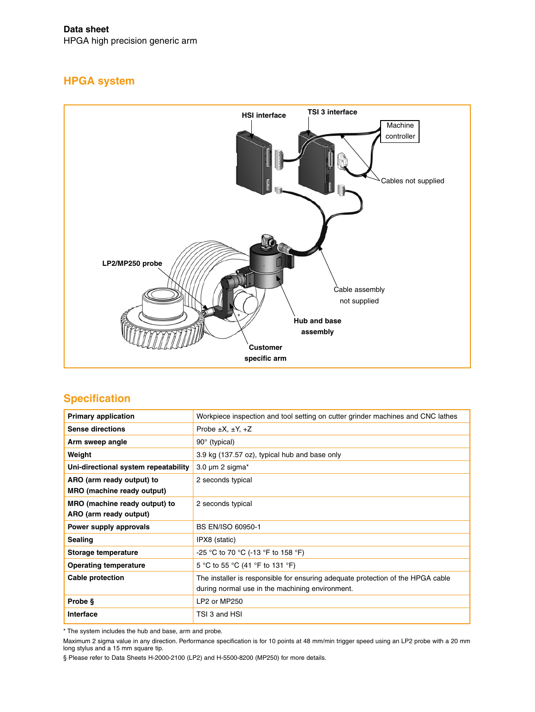**Data sheet** HPGA high precision generic arm

# **HPGA system**



# **Specification**

| <b>Primary application</b>                              | Workpiece inspection and tool setting on cutter grinder machines and CNC lathes                                                    |  |
|---------------------------------------------------------|------------------------------------------------------------------------------------------------------------------------------------|--|
| <b>Sense directions</b>                                 | Probe $\pm X$ , $\pm Y$ , $+Z$                                                                                                     |  |
| Arm sweep angle                                         | $90^\circ$ (typical)                                                                                                               |  |
| Weight                                                  | 3.9 kg (137.57 oz), typical hub and base only                                                                                      |  |
| Uni-directional system repeatability                    | 3.0 $\mu$ m 2 sigma*                                                                                                               |  |
| ARO (arm ready output) to<br>MRO (machine ready output) | 2 seconds typical                                                                                                                  |  |
| MRO (machine ready output) to<br>ARO (arm ready output) | 2 seconds typical                                                                                                                  |  |
| Power supply approvals                                  | <b>BS EN/ISO 60950-1</b>                                                                                                           |  |
| <b>Sealing</b>                                          | IPX8 (static)                                                                                                                      |  |
| Storage temperature                                     | -25 °C to 70 °C (-13 °F to 158 °F)                                                                                                 |  |
| <b>Operating temperature</b>                            | 5 °C to 55 °C (41 °F to 131 °F)                                                                                                    |  |
| Cable protection                                        | The installer is responsible for ensuring adequate protection of the HPGA cable<br>during normal use in the machining environment. |  |
| Probe §                                                 | LP2 or MP250                                                                                                                       |  |
| Interface                                               | TSI 3 and HSI                                                                                                                      |  |

\* The system includes the hub and base, arm and probe.

Maximum 2 sigma value in any direction. Performance specification is for 10 points at 48 mm/min trigger speed using an LP2 probe with a 20 mm long stylus and a 15 mm square tip.

§ Please refer to Data Sheets H-2000-2100 (LP2) and H-5500-8200 (MP250) for more details.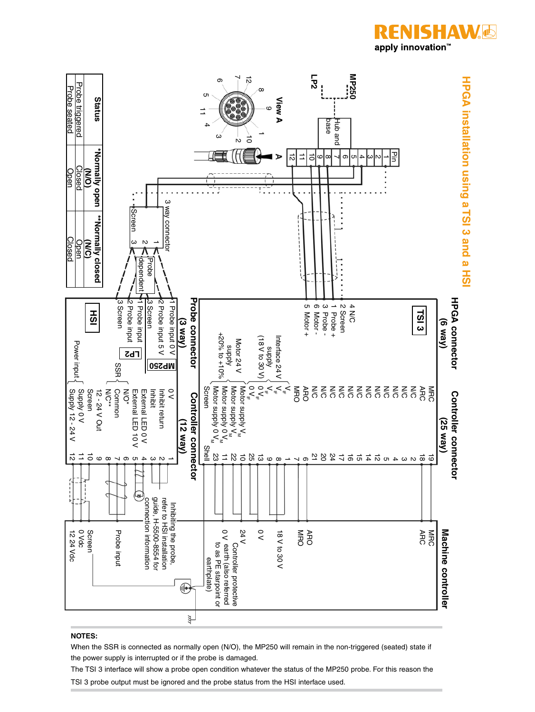

#### **NOTES:**

When the SSR is connected as normally open (N/O), the MP250 will remain in the non-triggered (seated) state if the power supply is interrupted or if the probe is damaged.

The TSI 3 interface will show a probe open condition whatever the status of the MP250 probe. For this reason the

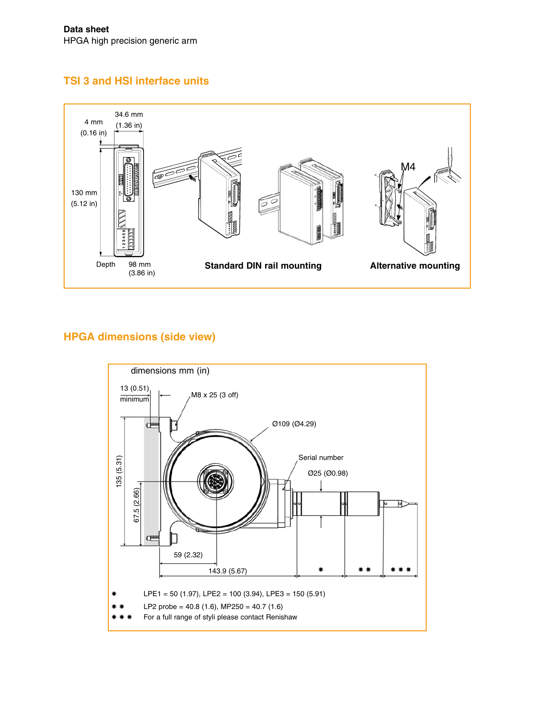# **TSI 3 and HSI interface units**



# **HPGA dimensions (side view)**

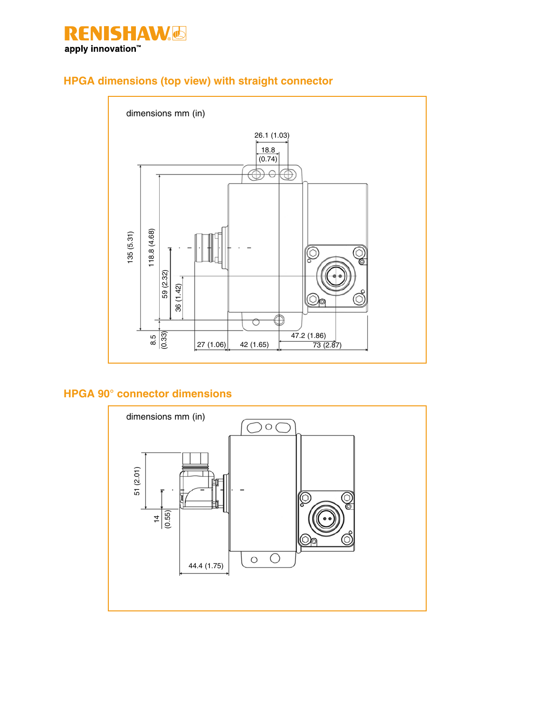

# **HPGA dimensions (top view) with straight connector**